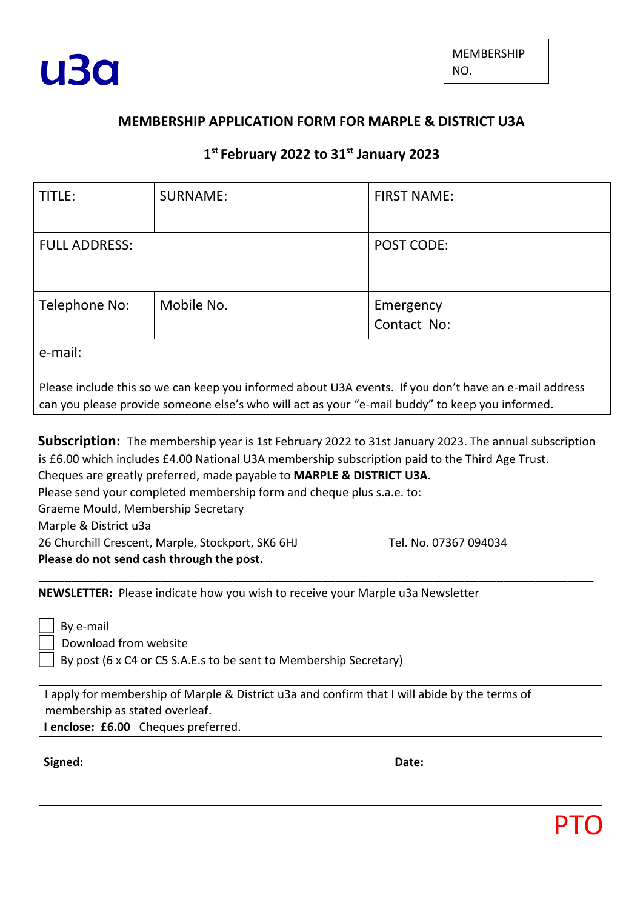

## **MEMBERSHIP APPLICATION FORM FOR MARPLE & DISTRICT U3A**

## **1 st February 2022 to 31st January 2023**

| TITLE:                                                                                                                                                                                                   | SURNAME:   | <b>FIRST NAME:</b>       |
|----------------------------------------------------------------------------------------------------------------------------------------------------------------------------------------------------------|------------|--------------------------|
| <b>FULL ADDRESS:</b>                                                                                                                                                                                     |            | <b>POST CODE:</b>        |
| Telephone No:                                                                                                                                                                                            | Mobile No. | Emergency<br>Contact No: |
| e-mail:                                                                                                                                                                                                  |            |                          |
| Please include this so we can keep you informed about U3A events. If you don't have an e-mail address<br>can you please provide someone else's who will act as your "e-mail buddy" to keep you informed. |            |                          |

**Subscription:** The membership year is 1st February 2022 to 31st January 2023. The annual subscription is £6.00 which includes £4.00 National U3A membership subscription paid to the Third Age Trust. Cheques are greatly preferred, made payable to **MARPLE & DISTRICT U3A.**  Please send your completed membership form and cheque plus s.a.e. to: Graeme Mould, Membership Secretary Marple & District u3a 26 Churchill Crescent, Marple, Stockport, SK6 6HJ Tel. No. 07367 094034 **Please do not send cash through the post. \_\_\_\_\_\_\_\_\_\_\_\_\_\_\_\_\_\_\_\_\_\_\_\_\_\_\_\_\_\_\_\_\_\_\_\_\_\_\_\_\_\_\_\_\_\_\_\_\_\_\_\_\_\_\_\_\_\_\_\_\_\_\_\_\_\_\_\_\_\_\_\_\_\_\_\_\_\_\_\_\_\_\_\_\_\_**

**NEWSLETTER:** Please indicate how you wish to receive your Marple u3a Newsletter

 By e-mail Download from website By post (6 x C4 or C5 S.A.E.s to be sent to Membership Secretary)

I apply for membership of Marple & District u3a and confirm that I will abide by the terms of membership as stated overleaf.

**I enclose: £6.00** Cheques preferred.

**Signed: Date:**